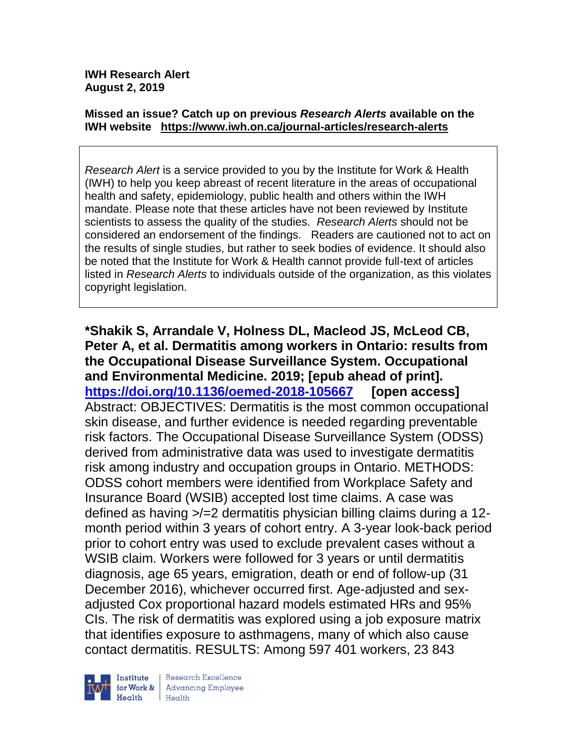#### **Missed an issue? Catch up on previous** *Research Alerts* **available on the [IWH website](http://www.iwh.on.ca/research-alerts) <https://www.iwh.on.ca/journal-articles/research-alerts>**

*Research Alert* is a service provided to you by the Institute for Work & Health (IWH) to help you keep abreast of recent literature in the areas of occupational health and safety, epidemiology, public health and others within the IWH mandate. Please note that these articles have not been reviewed by Institute scientists to assess the quality of the studies. *Research Alerts* should not be considered an endorsement of the findings. Readers are cautioned not to act on the results of single studies, but rather to seek bodies of evidence. It should also be noted that the Institute for Work & Health cannot provide full-text of articles listed in *Research Alerts* to individuals outside of the organization, as this violates copyright legislation.

**\*Shakik S, Arrandale V, Holness DL, Macleod JS, McLeod CB, Peter A, et al. Dermatitis among workers in Ontario: results from the Occupational Disease Surveillance System. Occupational and Environmental Medicine. 2019; [epub ahead of print]. <https://doi.org/10.1136/oemed-2018-105667> [open access]** Abstract: OBJECTIVES: Dermatitis is the most common occupational skin disease, and further evidence is needed regarding preventable risk factors. The Occupational Disease Surveillance System (ODSS) derived from administrative data was used to investigate dermatitis risk among industry and occupation groups in Ontario. METHODS: ODSS cohort members were identified from Workplace Safety and Insurance Board (WSIB) accepted lost time claims. A case was defined as having >/=2 dermatitis physician billing claims during a 12 month period within 3 years of cohort entry. A 3-year look-back period prior to cohort entry was used to exclude prevalent cases without a WSIB claim. Workers were followed for 3 years or until dermatitis diagnosis, age 65 years, emigration, death or end of follow-up (31 December 2016), whichever occurred first. Age-adjusted and sexadjusted Cox proportional hazard models estimated HRs and 95% CIs. The risk of dermatitis was explored using a job exposure matrix that identifies exposure to asthmagens, many of which also cause contact dermatitis. RESULTS: Among 597 401 workers, 23 843



Research Excellence **Advancing Employee** Health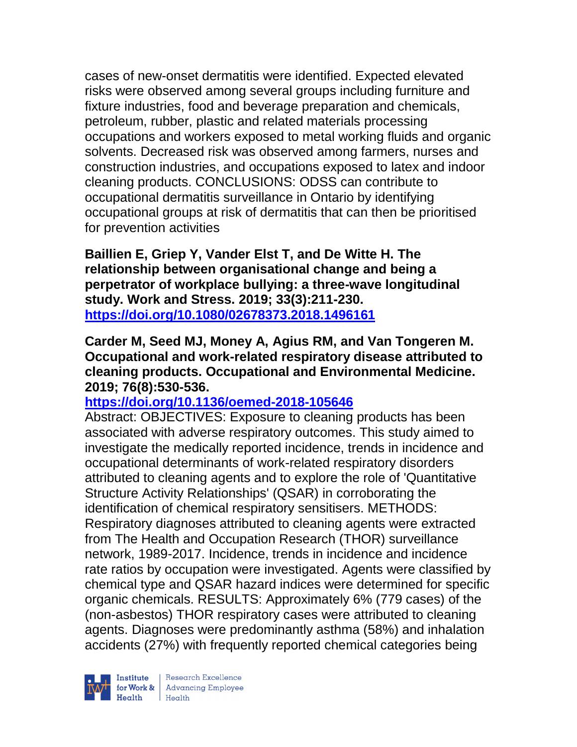cases of new-onset dermatitis were identified. Expected elevated risks were observed among several groups including furniture and fixture industries, food and beverage preparation and chemicals, petroleum, rubber, plastic and related materials processing occupations and workers exposed to metal working fluids and organic solvents. Decreased risk was observed among farmers, nurses and construction industries, and occupations exposed to latex and indoor cleaning products. CONCLUSIONS: ODSS can contribute to occupational dermatitis surveillance in Ontario by identifying occupational groups at risk of dermatitis that can then be prioritised for prevention activities

**Baillien E, Griep Y, Vander Elst T, and De Witte H. The relationship between organisational change and being a perpetrator of workplace bullying: a three-wave longitudinal study. Work and Stress. 2019; 33(3):211-230. <https://doi.org/10.1080/02678373.2018.1496161>** 

**Carder M, Seed MJ, Money A, Agius RM, and Van Tongeren M. Occupational and work-related respiratory disease attributed to cleaning products. Occupational and Environmental Medicine. 2019; 76(8):530-536.** 

### **<https://doi.org/10.1136/oemed-2018-105646>**

Abstract: OBJECTIVES: Exposure to cleaning products has been associated with adverse respiratory outcomes. This study aimed to investigate the medically reported incidence, trends in incidence and occupational determinants of work-related respiratory disorders attributed to cleaning agents and to explore the role of 'Quantitative Structure Activity Relationships' (QSAR) in corroborating the identification of chemical respiratory sensitisers. METHODS: Respiratory diagnoses attributed to cleaning agents were extracted from The Health and Occupation Research (THOR) surveillance network, 1989-2017. Incidence, trends in incidence and incidence rate ratios by occupation were investigated. Agents were classified by chemical type and QSAR hazard indices were determined for specific organic chemicals. RESULTS: Approximately 6% (779 cases) of the (non-asbestos) THOR respiratory cases were attributed to cleaning agents. Diagnoses were predominantly asthma (58%) and inhalation accidents (27%) with frequently reported chemical categories being

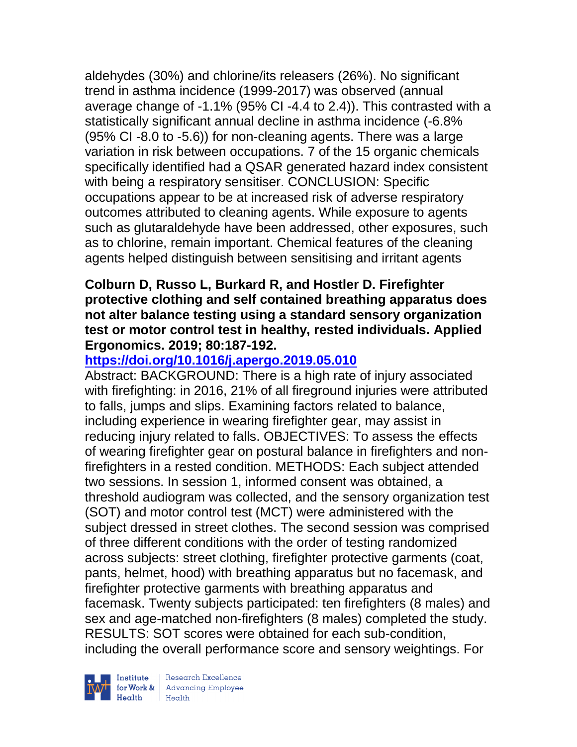aldehydes (30%) and chlorine/its releasers (26%). No significant trend in asthma incidence (1999-2017) was observed (annual average change of -1.1% (95% CI -4.4 to 2.4)). This contrasted with a statistically significant annual decline in asthma incidence (-6.8% (95% CI -8.0 to -5.6)) for non-cleaning agents. There was a large variation in risk between occupations. 7 of the 15 organic chemicals specifically identified had a QSAR generated hazard index consistent with being a respiratory sensitiser. CONCLUSION: Specific occupations appear to be at increased risk of adverse respiratory outcomes attributed to cleaning agents. While exposure to agents such as glutaraldehyde have been addressed, other exposures, such as to chlorine, remain important. Chemical features of the cleaning agents helped distinguish between sensitising and irritant agents

### **Colburn D, Russo L, Burkard R, and Hostler D. Firefighter protective clothing and self contained breathing apparatus does not alter balance testing using a standard sensory organization test or motor control test in healthy, rested individuals. Applied Ergonomics. 2019; 80:187-192.**

# **<https://doi.org/10.1016/j.apergo.2019.05.010>**

Abstract: BACKGROUND: There is a high rate of injury associated with firefighting: in 2016, 21% of all fireground injuries were attributed to falls, jumps and slips. Examining factors related to balance, including experience in wearing firefighter gear, may assist in reducing injury related to falls. OBJECTIVES: To assess the effects of wearing firefighter gear on postural balance in firefighters and nonfirefighters in a rested condition. METHODS: Each subject attended two sessions. In session 1, informed consent was obtained, a threshold audiogram was collected, and the sensory organization test (SOT) and motor control test (MCT) were administered with the subject dressed in street clothes. The second session was comprised of three different conditions with the order of testing randomized across subjects: street clothing, firefighter protective garments (coat, pants, helmet, hood) with breathing apparatus but no facemask, and firefighter protective garments with breathing apparatus and facemask. Twenty subjects participated: ten firefighters (8 males) and sex and age-matched non-firefighters (8 males) completed the study. RESULTS: SOT scores were obtained for each sub-condition, including the overall performance score and sensory weightings. For

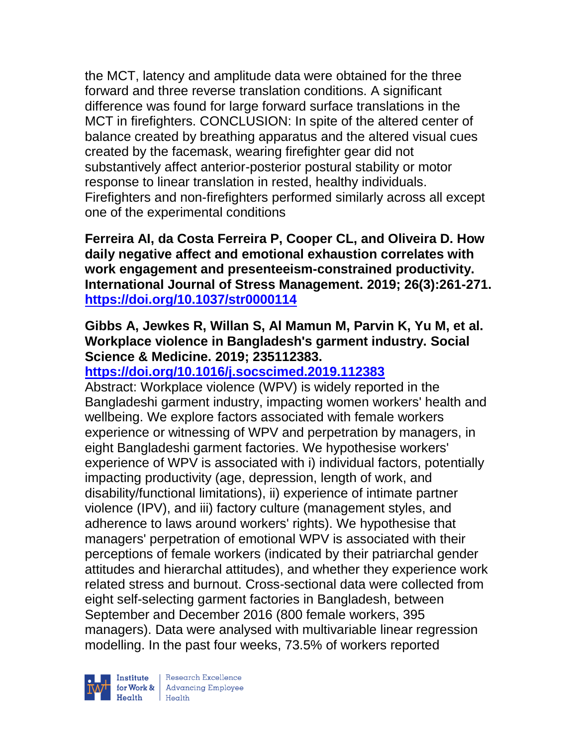the MCT, latency and amplitude data were obtained for the three forward and three reverse translation conditions. A significant difference was found for large forward surface translations in the MCT in firefighters. CONCLUSION: In spite of the altered center of balance created by breathing apparatus and the altered visual cues created by the facemask, wearing firefighter gear did not substantively affect anterior-posterior postural stability or motor response to linear translation in rested, healthy individuals. Firefighters and non-firefighters performed similarly across all except one of the experimental conditions

**Ferreira AI, da Costa Ferreira P, Cooper CL, and Oliveira D. How daily negative affect and emotional exhaustion correlates with work engagement and presenteeism-constrained productivity. International Journal of Stress Management. 2019; 26(3):261-271. <https://doi.org/10.1037/str0000114>** 

# **Gibbs A, Jewkes R, Willan S, Al Mamun M, Parvin K, Yu M, et al. Workplace violence in Bangladesh's garment industry. Social Science & Medicine. 2019; 235112383.**

# **<https://doi.org/10.1016/j.socscimed.2019.112383>**

Abstract: Workplace violence (WPV) is widely reported in the Bangladeshi garment industry, impacting women workers' health and wellbeing. We explore factors associated with female workers experience or witnessing of WPV and perpetration by managers, in eight Bangladeshi garment factories. We hypothesise workers' experience of WPV is associated with i) individual factors, potentially impacting productivity (age, depression, length of work, and disability/functional limitations), ii) experience of intimate partner violence (IPV), and iii) factory culture (management styles, and adherence to laws around workers' rights). We hypothesise that managers' perpetration of emotional WPV is associated with their perceptions of female workers (indicated by their patriarchal gender attitudes and hierarchal attitudes), and whether they experience work related stress and burnout. Cross-sectional data were collected from eight self-selecting garment factories in Bangladesh, between September and December 2016 (800 female workers, 395 managers). Data were analysed with multivariable linear regression modelling. In the past four weeks, 73.5% of workers reported

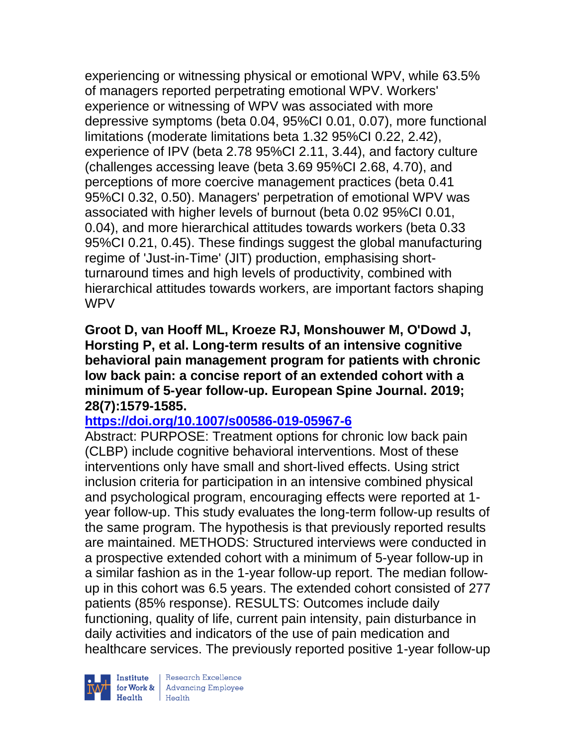experiencing or witnessing physical or emotional WPV, while 63.5% of managers reported perpetrating emotional WPV. Workers' experience or witnessing of WPV was associated with more depressive symptoms (beta 0.04, 95%CI 0.01, 0.07), more functional limitations (moderate limitations beta 1.32 95%CI 0.22, 2.42), experience of IPV (beta 2.78 95%CI 2.11, 3.44), and factory culture (challenges accessing leave (beta 3.69 95%CI 2.68, 4.70), and perceptions of more coercive management practices (beta 0.41 95%CI 0.32, 0.50). Managers' perpetration of emotional WPV was associated with higher levels of burnout (beta 0.02 95%CI 0.01, 0.04), and more hierarchical attitudes towards workers (beta 0.33 95%CI 0.21, 0.45). These findings suggest the global manufacturing regime of 'Just-in-Time' (JIT) production, emphasising shortturnaround times and high levels of productivity, combined with hierarchical attitudes towards workers, are important factors shaping WPV

**Groot D, van Hooff ML, Kroeze RJ, Monshouwer M, O'Dowd J, Horsting P, et al. Long-term results of an intensive cognitive behavioral pain management program for patients with chronic low back pain: a concise report of an extended cohort with a minimum of 5-year follow-up. European Spine Journal. 2019; 28(7):1579-1585.** 

# **<https://doi.org/10.1007/s00586-019-05967-6>**

Abstract: PURPOSE: Treatment options for chronic low back pain (CLBP) include cognitive behavioral interventions. Most of these interventions only have small and short-lived effects. Using strict inclusion criteria for participation in an intensive combined physical and psychological program, encouraging effects were reported at 1 year follow-up. This study evaluates the long-term follow-up results of the same program. The hypothesis is that previously reported results are maintained. METHODS: Structured interviews were conducted in a prospective extended cohort with a minimum of 5-year follow-up in a similar fashion as in the 1-year follow-up report. The median followup in this cohort was 6.5 years. The extended cohort consisted of 277 patients (85% response). RESULTS: Outcomes include daily functioning, quality of life, current pain intensity, pain disturbance in daily activities and indicators of the use of pain medication and healthcare services. The previously reported positive 1-year follow-up

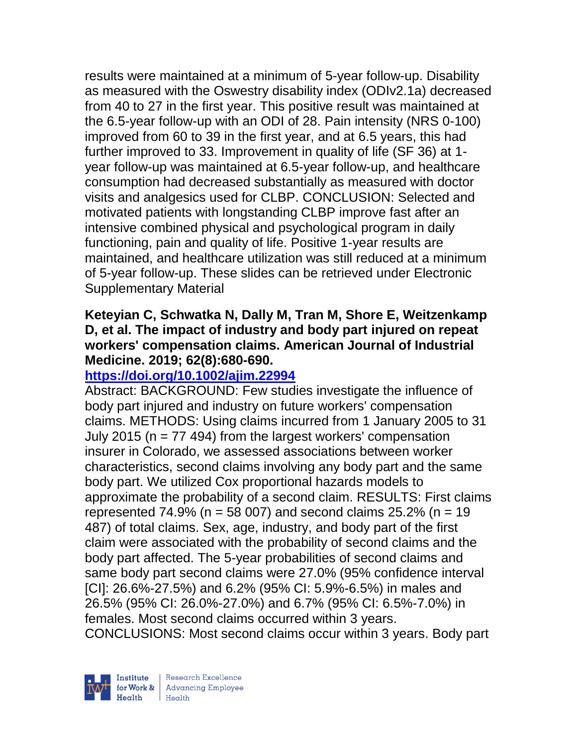results were maintained at a minimum of 5-year follow-up. Disability as measured with the Oswestry disability index (ODIv2.1a) decreased from 40 to 27 in the first year. This positive result was maintained at the 6.5-year follow-up with an ODI of 28. Pain intensity (NRS 0-100) improved from 60 to 39 in the first year, and at 6.5 years, this had further improved to 33. Improvement in quality of life (SF 36) at 1 year follow-up was maintained at 6.5-year follow-up, and healthcare consumption had decreased substantially as measured with doctor visits and analgesics used for CLBP. CONCLUSION: Selected and motivated patients with longstanding CLBP improve fast after an intensive combined physical and psychological program in daily functioning, pain and quality of life. Positive 1-year results are maintained, and healthcare utilization was still reduced at a minimum of 5-year follow-up. These slides can be retrieved under Electronic Supplementary Material

## **Keteyian C, Schwatka N, Dally M, Tran M, Shore E, Weitzenkamp D, et al. The impact of industry and body part injured on repeat workers' compensation claims. American Journal of Industrial Medicine. 2019; 62(8):680-690.**

## **<https://doi.org/10.1002/ajim.22994>**

Abstract: BACKGROUND: Few studies investigate the influence of body part injured and industry on future workers' compensation claims. METHODS: Using claims incurred from 1 January 2005 to 31 July 2015 ( $n = 77$  494) from the largest workers' compensation insurer in Colorado, we assessed associations between worker characteristics, second claims involving any body part and the same body part. We utilized Cox proportional hazards models to approximate the probability of a second claim. RESULTS: First claims represented 74.9% ( $n = 58007$ ) and second claims 25.2% ( $n = 19$ ) 487) of total claims. Sex, age, industry, and body part of the first claim were associated with the probability of second claims and the body part affected. The 5-year probabilities of second claims and same body part second claims were 27.0% (95% confidence interval [CI]: 26.6%-27.5%) and 6.2% (95% CI: 5.9%-6.5%) in males and 26.5% (95% CI: 26.0%-27.0%) and 6.7% (95% CI: 6.5%-7.0%) in females. Most second claims occurred within 3 years. CONCLUSIONS: Most second claims occur within 3 years. Body part

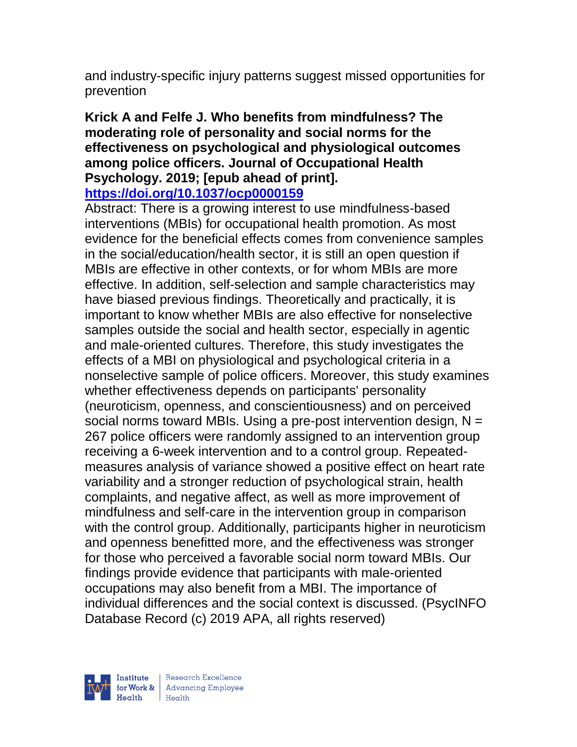and industry-specific injury patterns suggest missed opportunities for prevention

#### **Krick A and Felfe J. Who benefits from mindfulness? The moderating role of personality and social norms for the effectiveness on psychological and physiological outcomes among police officers. Journal of Occupational Health Psychology. 2019; [epub ahead of print]. <https://doi.org/10.1037/ocp0000159>**

#### Abstract: There is a growing interest to use mindfulness-based interventions (MBIs) for occupational health promotion. As most evidence for the beneficial effects comes from convenience samples in the social/education/health sector, it is still an open question if MBIs are effective in other contexts, or for whom MBIs are more effective. In addition, self-selection and sample characteristics may have biased previous findings. Theoretically and practically, it is important to know whether MBIs are also effective for nonselective samples outside the social and health sector, especially in agentic and male-oriented cultures. Therefore, this study investigates the effects of a MBI on physiological and psychological criteria in a nonselective sample of police officers. Moreover, this study examines whether effectiveness depends on participants' personality (neuroticism, openness, and conscientiousness) and on perceived social norms toward MBIs. Using a pre-post intervention design,  $N =$ 267 police officers were randomly assigned to an intervention group receiving a 6-week intervention and to a control group. Repeatedmeasures analysis of variance showed a positive effect on heart rate variability and a stronger reduction of psychological strain, health complaints, and negative affect, as well as more improvement of mindfulness and self-care in the intervention group in comparison with the control group. Additionally, participants higher in neuroticism and openness benefitted more, and the effectiveness was stronger for those who perceived a favorable social norm toward MBIs. Our findings provide evidence that participants with male-oriented occupations may also benefit from a MBI. The importance of individual differences and the social context is discussed. (PsycINFO Database Record (c) 2019 APA, all rights reserved)



| Research Excellence for Work & Advancing Employee<br>Health Health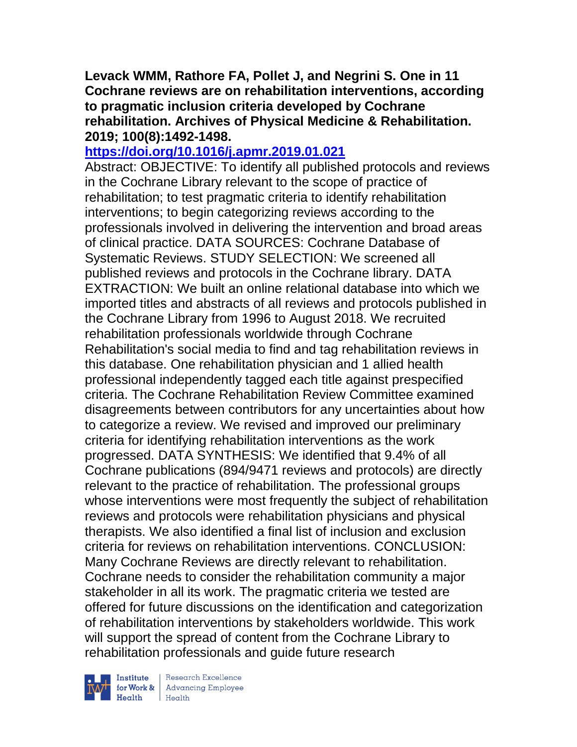**Levack WMM, Rathore FA, Pollet J, and Negrini S. One in 11 Cochrane reviews are on rehabilitation interventions, according to pragmatic inclusion criteria developed by Cochrane rehabilitation. Archives of Physical Medicine & Rehabilitation. 2019; 100(8):1492-1498.** 

## **<https://doi.org/10.1016/j.apmr.2019.01.021>**

Abstract: OBJECTIVE: To identify all published protocols and reviews in the Cochrane Library relevant to the scope of practice of rehabilitation; to test pragmatic criteria to identify rehabilitation interventions; to begin categorizing reviews according to the professionals involved in delivering the intervention and broad areas of clinical practice. DATA SOURCES: Cochrane Database of Systematic Reviews. STUDY SELECTION: We screened all published reviews and protocols in the Cochrane library. DATA EXTRACTION: We built an online relational database into which we imported titles and abstracts of all reviews and protocols published in the Cochrane Library from 1996 to August 2018. We recruited rehabilitation professionals worldwide through Cochrane Rehabilitation's social media to find and tag rehabilitation reviews in this database. One rehabilitation physician and 1 allied health professional independently tagged each title against prespecified criteria. The Cochrane Rehabilitation Review Committee examined disagreements between contributors for any uncertainties about how to categorize a review. We revised and improved our preliminary criteria for identifying rehabilitation interventions as the work progressed. DATA SYNTHESIS: We identified that 9.4% of all Cochrane publications (894/9471 reviews and protocols) are directly relevant to the practice of rehabilitation. The professional groups whose interventions were most frequently the subject of rehabilitation reviews and protocols were rehabilitation physicians and physical therapists. We also identified a final list of inclusion and exclusion criteria for reviews on rehabilitation interventions. CONCLUSION: Many Cochrane Reviews are directly relevant to rehabilitation. Cochrane needs to consider the rehabilitation community a major stakeholder in all its work. The pragmatic criteria we tested are offered for future discussions on the identification and categorization of rehabilitation interventions by stakeholders worldwide. This work will support the spread of content from the Cochrane Library to rehabilitation professionals and guide future research



 $\begin{tabular}{|l|l|} \hline \textbf{Institute} & Research \textbf{Excellence} \\ \hline \textbf{for Work & Advancing Employee} \\ \textbf{Health} & Health \\ \hline \end{tabular}$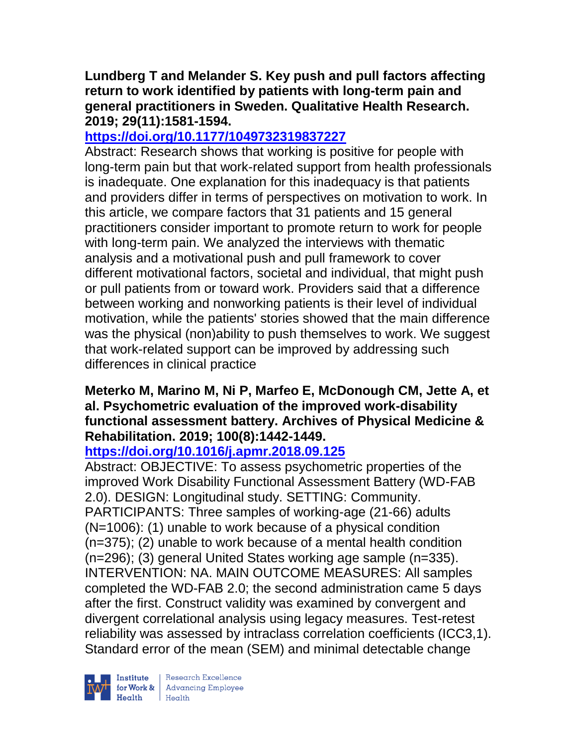## **Lundberg T and Melander S. Key push and pull factors affecting return to work identified by patients with long-term pain and general practitioners in Sweden. Qualitative Health Research. 2019; 29(11):1581-1594.**

# **<https://doi.org/10.1177/1049732319837227>**

Abstract: Research shows that working is positive for people with long-term pain but that work-related support from health professionals is inadequate. One explanation for this inadequacy is that patients and providers differ in terms of perspectives on motivation to work. In this article, we compare factors that 31 patients and 15 general practitioners consider important to promote return to work for people with long-term pain. We analyzed the interviews with thematic analysis and a motivational push and pull framework to cover different motivational factors, societal and individual, that might push or pull patients from or toward work. Providers said that a difference between working and nonworking patients is their level of individual motivation, while the patients' stories showed that the main difference was the physical (non)ability to push themselves to work. We suggest that work-related support can be improved by addressing such differences in clinical practice

## **Meterko M, Marino M, Ni P, Marfeo E, McDonough CM, Jette A, et al. Psychometric evaluation of the improved work-disability functional assessment battery. Archives of Physical Medicine & Rehabilitation. 2019; 100(8):1442-1449.**

# **<https://doi.org/10.1016/j.apmr.2018.09.125>**

Abstract: OBJECTIVE: To assess psychometric properties of the improved Work Disability Functional Assessment Battery (WD-FAB 2.0). DESIGN: Longitudinal study. SETTING: Community. PARTICIPANTS: Three samples of working-age (21-66) adults (N=1006): (1) unable to work because of a physical condition (n=375); (2) unable to work because of a mental health condition (n=296); (3) general United States working age sample (n=335). INTERVENTION: NA. MAIN OUTCOME MEASURES: All samples completed the WD-FAB 2.0; the second administration came 5 days after the first. Construct validity was examined by convergent and divergent correlational analysis using legacy measures. Test-retest reliability was assessed by intraclass correlation coefficients (ICC3,1). Standard error of the mean (SEM) and minimal detectable change

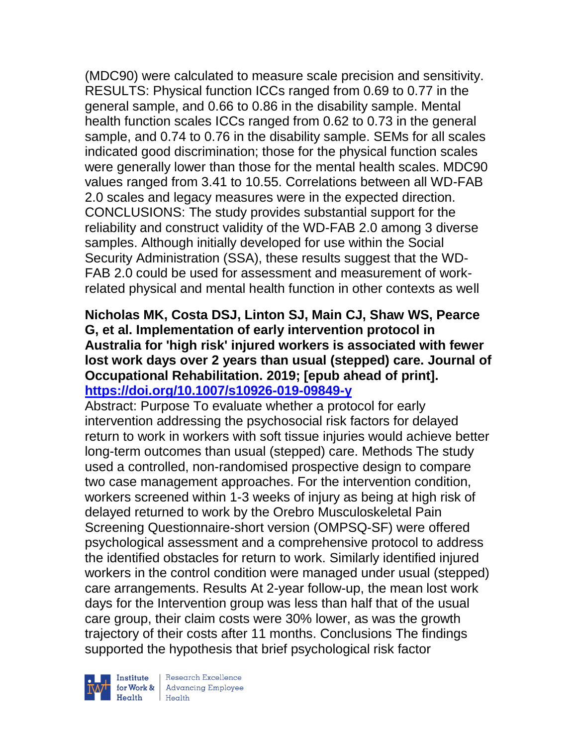(MDC90) were calculated to measure scale precision and sensitivity. RESULTS: Physical function ICCs ranged from 0.69 to 0.77 in the general sample, and 0.66 to 0.86 in the disability sample. Mental health function scales ICCs ranged from 0.62 to 0.73 in the general sample, and 0.74 to 0.76 in the disability sample. SEMs for all scales indicated good discrimination; those for the physical function scales were generally lower than those for the mental health scales. MDC90 values ranged from 3.41 to 10.55. Correlations between all WD-FAB 2.0 scales and legacy measures were in the expected direction. CONCLUSIONS: The study provides substantial support for the reliability and construct validity of the WD-FAB 2.0 among 3 diverse samples. Although initially developed for use within the Social Security Administration (SSA), these results suggest that the WD-FAB 2.0 could be used for assessment and measurement of workrelated physical and mental health function in other contexts as well

## **Nicholas MK, Costa DSJ, Linton SJ, Main CJ, Shaw WS, Pearce G, et al. Implementation of early intervention protocol in Australia for 'high risk' injured workers is associated with fewer lost work days over 2 years than usual (stepped) care. Journal of Occupational Rehabilitation. 2019; [epub ahead of print]. <https://doi.org/10.1007/s10926-019-09849-y>**

Abstract: Purpose To evaluate whether a protocol for early intervention addressing the psychosocial risk factors for delayed return to work in workers with soft tissue injuries would achieve better long-term outcomes than usual (stepped) care. Methods The study used a controlled, non-randomised prospective design to compare two case management approaches. For the intervention condition, workers screened within 1-3 weeks of injury as being at high risk of delayed returned to work by the Orebro Musculoskeletal Pain Screening Questionnaire-short version (OMPSQ-SF) were offered psychological assessment and a comprehensive protocol to address the identified obstacles for return to work. Similarly identified injured workers in the control condition were managed under usual (stepped) care arrangements. Results At 2-year follow-up, the mean lost work days for the Intervention group was less than half that of the usual care group, their claim costs were 30% lower, as was the growth trajectory of their costs after 11 months. Conclusions The findings supported the hypothesis that brief psychological risk factor



 $\begin{tabular}{|l|} Institute & Research Excellence \\ \hline for Work & Advancing Employee \\ Health & Health \\ \end{tabular}$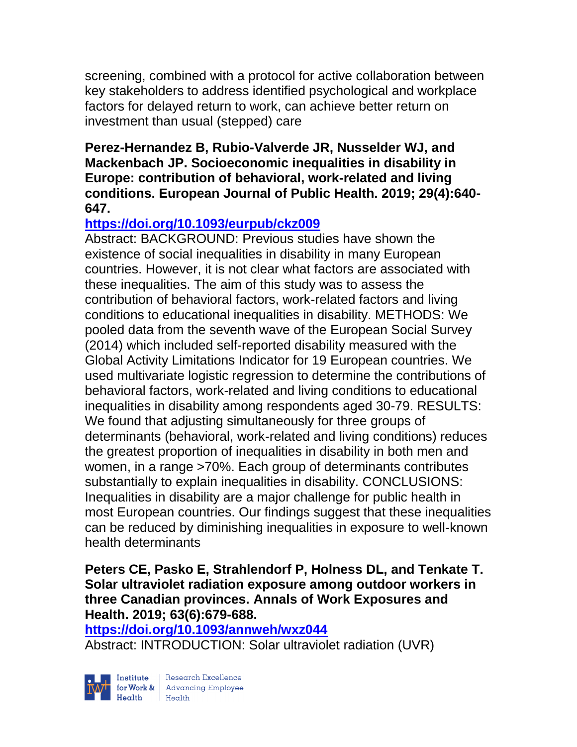screening, combined with a protocol for active collaboration between key stakeholders to address identified psychological and workplace factors for delayed return to work, can achieve better return on investment than usual (stepped) care

#### **Perez-Hernandez B, Rubio-Valverde JR, Nusselder WJ, and Mackenbach JP. Socioeconomic inequalities in disability in Europe: contribution of behavioral, work-related and living conditions. European Journal of Public Health. 2019; 29(4):640- 647.**

# **<https://doi.org/10.1093/eurpub/ckz009>**

Abstract: BACKGROUND: Previous studies have shown the existence of social inequalities in disability in many European countries. However, it is not clear what factors are associated with these inequalities. The aim of this study was to assess the contribution of behavioral factors, work-related factors and living conditions to educational inequalities in disability. METHODS: We pooled data from the seventh wave of the European Social Survey (2014) which included self-reported disability measured with the Global Activity Limitations Indicator for 19 European countries. We used multivariate logistic regression to determine the contributions of behavioral factors, work-related and living conditions to educational inequalities in disability among respondents aged 30-79. RESULTS: We found that adjusting simultaneously for three groups of determinants (behavioral, work-related and living conditions) reduces the greatest proportion of inequalities in disability in both men and women, in a range >70%. Each group of determinants contributes substantially to explain inequalities in disability. CONCLUSIONS: Inequalities in disability are a major challenge for public health in most European countries. Our findings suggest that these inequalities can be reduced by diminishing inequalities in exposure to well-known health determinants

### **Peters CE, Pasko E, Strahlendorf P, Holness DL, and Tenkate T. Solar ultraviolet radiation exposure among outdoor workers in three Canadian provinces. Annals of Work Exposures and Health. 2019; 63(6):679-688.**

**<https://doi.org/10.1093/annweh/wxz044>** 

Abstract: INTRODUCTION: Solar ultraviolet radiation (UVR)



| Research Excellence for Work & Advancing Employee<br>Health Health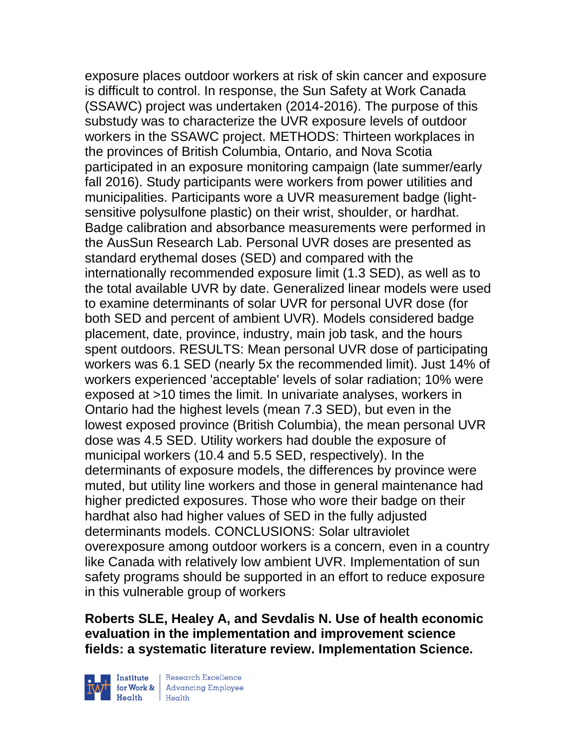exposure places outdoor workers at risk of skin cancer and exposure is difficult to control. In response, the Sun Safety at Work Canada (SSAWC) project was undertaken (2014-2016). The purpose of this substudy was to characterize the UVR exposure levels of outdoor workers in the SSAWC project. METHODS: Thirteen workplaces in the provinces of British Columbia, Ontario, and Nova Scotia participated in an exposure monitoring campaign (late summer/early fall 2016). Study participants were workers from power utilities and municipalities. Participants wore a UVR measurement badge (lightsensitive polysulfone plastic) on their wrist, shoulder, or hardhat. Badge calibration and absorbance measurements were performed in the AusSun Research Lab. Personal UVR doses are presented as standard erythemal doses (SED) and compared with the internationally recommended exposure limit (1.3 SED), as well as to the total available UVR by date. Generalized linear models were used to examine determinants of solar UVR for personal UVR dose (for both SED and percent of ambient UVR). Models considered badge placement, date, province, industry, main job task, and the hours spent outdoors. RESULTS: Mean personal UVR dose of participating workers was 6.1 SED (nearly 5x the recommended limit). Just 14% of workers experienced 'acceptable' levels of solar radiation; 10% were exposed at >10 times the limit. In univariate analyses, workers in Ontario had the highest levels (mean 7.3 SED), but even in the lowest exposed province (British Columbia), the mean personal UVR dose was 4.5 SED. Utility workers had double the exposure of municipal workers (10.4 and 5.5 SED, respectively). In the determinants of exposure models, the differences by province were muted, but utility line workers and those in general maintenance had higher predicted exposures. Those who wore their badge on their hardhat also had higher values of SED in the fully adjusted determinants models. CONCLUSIONS: Solar ultraviolet overexposure among outdoor workers is a concern, even in a country like Canada with relatively low ambient UVR. Implementation of sun safety programs should be supported in an effort to reduce exposure in this vulnerable group of workers

**Roberts SLE, Healey A, and Sevdalis N. Use of health economic evaluation in the implementation and improvement science fields: a systematic literature review. Implementation Science.** 



| Research Excellence **Institute** Research Excellence<br> **Fractional Advancing Employee**<br> **Health** Health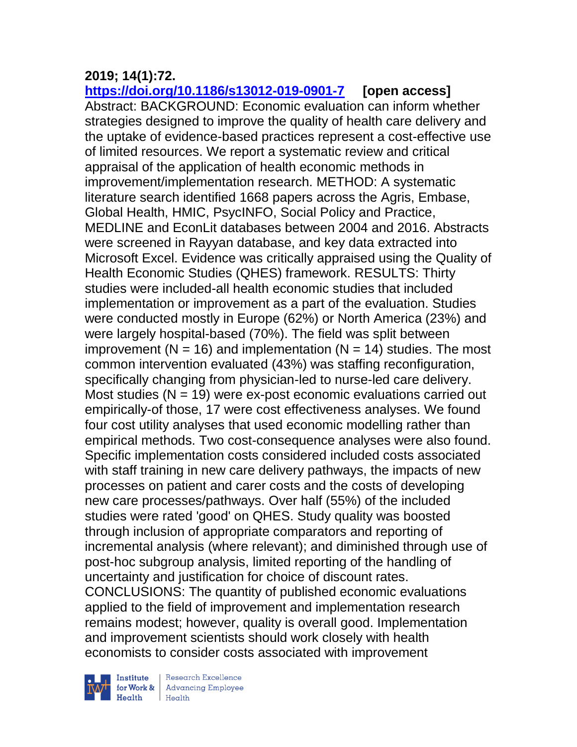# **2019; 14(1):72.**

**<https://doi.org/10.1186/s13012-019-0901-7> [open access]** Abstract: BACKGROUND: Economic evaluation can inform whether strategies designed to improve the quality of health care delivery and the uptake of evidence-based practices represent a cost-effective use of limited resources. We report a systematic review and critical appraisal of the application of health economic methods in improvement/implementation research. METHOD: A systematic literature search identified 1668 papers across the Agris, Embase, Global Health, HMIC, PsycINFO, Social Policy and Practice, MEDLINE and EconLit databases between 2004 and 2016. Abstracts were screened in Rayyan database, and key data extracted into Microsoft Excel. Evidence was critically appraised using the Quality of Health Economic Studies (QHES) framework. RESULTS: Thirty studies were included-all health economic studies that included implementation or improvement as a part of the evaluation. Studies were conducted mostly in Europe (62%) or North America (23%) and were largely hospital-based (70%). The field was split between improvement ( $N = 16$ ) and implementation ( $N = 14$ ) studies. The most common intervention evaluated (43%) was staffing reconfiguration, specifically changing from physician-led to nurse-led care delivery. Most studies  $(N = 19)$  were ex-post economic evaluations carried out empirically-of those, 17 were cost effectiveness analyses. We found four cost utility analyses that used economic modelling rather than empirical methods. Two cost-consequence analyses were also found. Specific implementation costs considered included costs associated with staff training in new care delivery pathways, the impacts of new processes on patient and carer costs and the costs of developing new care processes/pathways. Over half (55%) of the included studies were rated 'good' on QHES. Study quality was boosted through inclusion of appropriate comparators and reporting of incremental analysis (where relevant); and diminished through use of post-hoc subgroup analysis, limited reporting of the handling of uncertainty and justification for choice of discount rates. CONCLUSIONS: The quantity of published economic evaluations applied to the field of improvement and implementation research remains modest; however, quality is overall good. Implementation and improvement scientists should work closely with health economists to consider costs associated with improvement



 $\begin{tabular}{|l|} Institute & Research Excellence \\ \hline for Work & Advancing Employee \\ Health & Health \\ \end{tabular}$